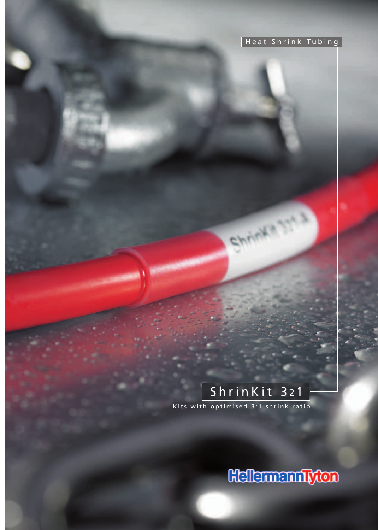## Heat Shrink Tubing

# ShrinKit 321 Kits with optimised 3:1 shrink ratio

Shuwa alian

**Hellermanniyton**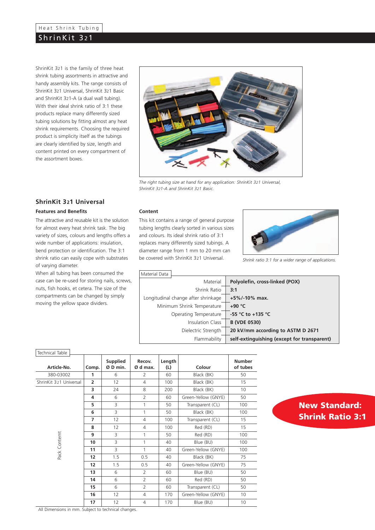## Heat Shrink Tubing

## ShrinKit 321

ShrinKit 321 is the family of three heat shrink tubing assortments in attractive and handy assembly kits. The range consists of ShrinKit 321 Universal, ShrinKit 321 Basic and ShrinKit 321-A (a dual wall tubing). With their ideal shrink ratio of 3:1 these products replace many differently sized tubing solutions by fitting almost any heat shrink requirements. Choosing the required product is simplicity itself as the tubings are clearly identified by size, length and content printed on every compartment of the assortment boxes.



*The right tubing size at hand for any application: ShrinKit 321 Universal, ShrinKit 321-A and ShrinKit 321 Basic.*

### **ShrinKit 321 Universal**

#### **Features and Benefits**

The attractive and reusable kit is the solution for almost every heat shrink task. The big variety of sizes, colours and lengths offers a wide number of applications: insulation, bend protection or identification. The 3:1 shrink ratio can easily cope with substrates of varying diameter.

When all tubing has been consumed the case can be re-used for storing nails, screws, nuts, fish hooks, et cetera. The size of the compartments can be changed by simply moving the yellow space dividers.

#### **Content**

This kit contains a range of general purpose tubing lengths clearly sorted in various sizes and colours. Its ideal shrink ratio of 3:1 replaces many differently sized tubings. A diameter range from 1 mm to 20 mm can be covered with ShrinKit 321 Universal. *Shrink ratio 3:1 for a wider range of applications.*



| Material Data                       |                       |                                             |
|-------------------------------------|-----------------------|---------------------------------------------|
|                                     | Material              | Polyolefin, cross-linked (POX)              |
|                                     | Shrink Ratio          | 3:1                                         |
| Longitudinal change after shrinkage |                       | $+5\%$ /-10% max.                           |
| Minimum Shrink Temperature          |                       | $+90 °C$                                    |
|                                     | Operating Temperature | -55 °C to +135 °C                           |
|                                     | Insulation Class      | <b>B (VDE 0530)</b>                         |
|                                     | Dielectric Strength   | 20 kV/mm according to ASTM D 2671           |
|                                     | Flammability          | self-extinguishing (except for transparent) |

| Technical Table        |                |                      |                    |               |                     |                           |
|------------------------|----------------|----------------------|--------------------|---------------|---------------------|---------------------------|
| Article-No.            | Comp.          | Supplied<br>Ø D min. | Recov.<br>Ø d max. | Length<br>(L) | Colour              | <b>Number</b><br>of tubes |
| 380-03002              | 1              | 6                    | 2                  | 60            | Black (BK)          | 50                        |
| ShrinKit 321 Universal | $\overline{2}$ | 12                   | $\overline{4}$     | 100           | Black (BK)          | 15                        |
|                        | 3              | 24                   | 8                  | 200           | Black (BK)          | 10                        |
|                        | 4              | 6                    | $\overline{2}$     | 60            | Green-Yellow (GNYE) | 50                        |
|                        | 5              | $\overline{3}$       | 1                  | 50            | Transparent (CL)    | 100                       |
|                        | 6              | 3                    | 1                  | 50            | Black (BK)          | 100                       |
|                        | $\overline{ }$ | 12                   | $\overline{4}$     | 100           | Transparent (CL)    | 15                        |
|                        | 8              | 12                   | $\overline{4}$     | 100           | Red (RD)            | 15                        |
|                        | 9              | 3                    | 1                  | 50            | Red (RD)            | 100                       |
| Pack Contemt           | 10             | 3                    | 1                  | 40            | Blue (BU)           | 100                       |
|                        | 11             | 3                    | 1                  | 40            | Green-Yellow (GNYE) | 100                       |
|                        | 12             | 1.5                  | 0.5                | 40            | Black (BK)          | 75                        |
|                        | 12             | 1.5                  | 0.5                | 40            | Green-Yellow (GNYE) | 75                        |
|                        | 13             | 6                    | $\overline{2}$     | 60            | Blue (BU)           | 50                        |
|                        | 14             | 6                    | $\overline{2}$     | 60            | Red (RD)            | 50                        |
|                        | 15             | 6                    | $\overline{2}$     | 60            | Transparent (CL)    | 50                        |
|                        | 16             | 12                   | $\overline{4}$     | 170           | Green-Yellow (GNYE) | 10                        |
|                        | 17             | 12                   | $\overline{4}$     | 170           | Blue (BU)           | 10                        |

## **New Standard: Shrink Ratio 3:1**

All Dimensions in mm. Subject to technical changes.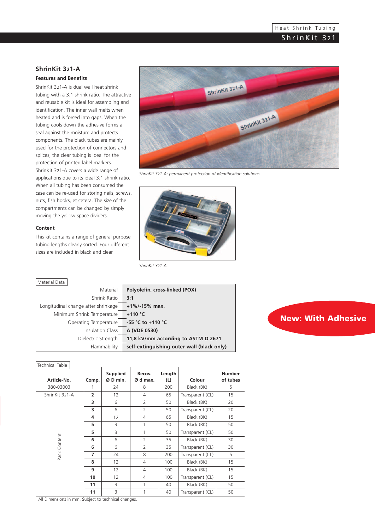### **ShrinKit 321-A**

#### **Features and Benefits**

ShrinKit 321-A is dual wall heat shrink tubing with a 3:1 shrink ratio. The attractive and reusable kit is ideal for assembling and identification. The inner wall melts when heated and is forced into gaps. When the tubing cools down the adhesive forms a seal against the moisture and protects components. The black tubes are mainly used for the protection of connectors and splices, the clear tubing is ideal for the protection of printed label markers. ShrinKit 321-A covers a wide range of applications due to its ideal 3:1 shrink ratio. When all tubing has been consumed the case can be re-used for storing nails, screws, nuts, fish hooks, et cetera. The size of the compartments can be changed by simply moving the yellow space dividers.

#### **Content**

This kit contains a range of general purpose tubing lengths clearly sorted. Four different sizes are included in black and clear.



*ShrinKit 321-A: permanent protection of identification solutions.*



*ShrinKit 321-A.*

| Material Data                       |                                            |
|-------------------------------------|--------------------------------------------|
| Material                            | Polyolefin, cross-linked (POX)             |
| Shrink Ratio                        | 3:1                                        |
| Longitudinal change after shrinkage | $+1\%$ /-15% max.                          |
| Minimum Shrink Temperature          | $+110$ °C                                  |
| Operating Temperature               | -55 °C to +110 °C                          |
| Insulation Class                    | A (VDE 0530)                               |
| Dielectric Strength                 | 11,8 kV/mm according to ASTM D 2671        |
| Flammability                        | self-extinguishing outer wall (black only) |

# **New: With Adhesive**

## Technical Table

| Technical Table |                |                             |                    |               |                  |                           |  |
|-----------------|----------------|-----------------------------|--------------------|---------------|------------------|---------------------------|--|
| Article-No.     | Comp.          | <b>Supplied</b><br>Ø D min. | Recov.<br>Ø d max. | Length<br>(L) | Colour           | <b>Number</b><br>of tubes |  |
| 380-03003       | 1              | 24                          | 8                  | 200           | Black (BK)       | 5                         |  |
| ShrinKit 321-A  | $\overline{2}$ | 12                          | $\overline{4}$     | 65            | Transparent (CL) | 15                        |  |
|                 | 3              | 6                           | $\overline{2}$     | 50            | Black (BK)       | 20                        |  |
|                 | 3              | 6                           | $\overline{2}$     | 50            | Transparent (CL) | 20                        |  |
|                 | 4              | 12                          | $\overline{4}$     | 65            | Black (BK)       | 15                        |  |
|                 | 5              | 3                           | 1                  | 50            | Black (BK)       | 50                        |  |
|                 | 5              | 3                           | 1                  | 50            | Transparent (CL) | 50                        |  |
|                 | 6              | 6                           | $\overline{2}$     | 35            | Black (BK)       | 30                        |  |
| Pack Content    | 6              | 6                           | $\overline{2}$     | 35            | Transparent (CL) | 30                        |  |
|                 | 7              | 24                          | 8                  | 200           | Transparent (CL) | 5                         |  |
|                 | 8              | 12                          | 4                  | 100           | Black (BK)       | 15                        |  |
|                 | 9              | 12                          | $\overline{4}$     | 100           | Black (BK)       | 15                        |  |
|                 | 10             | 12                          | 4                  | 100           | Transparent (CL) | 15                        |  |
|                 | 11             | 3                           | 1                  | 40            | Black (BK)       | 50                        |  |
|                 | 11             | 3                           | 1                  | 40            | Transparent (CL) | 50                        |  |

All Dimensions in mm. Subject to technical changes.